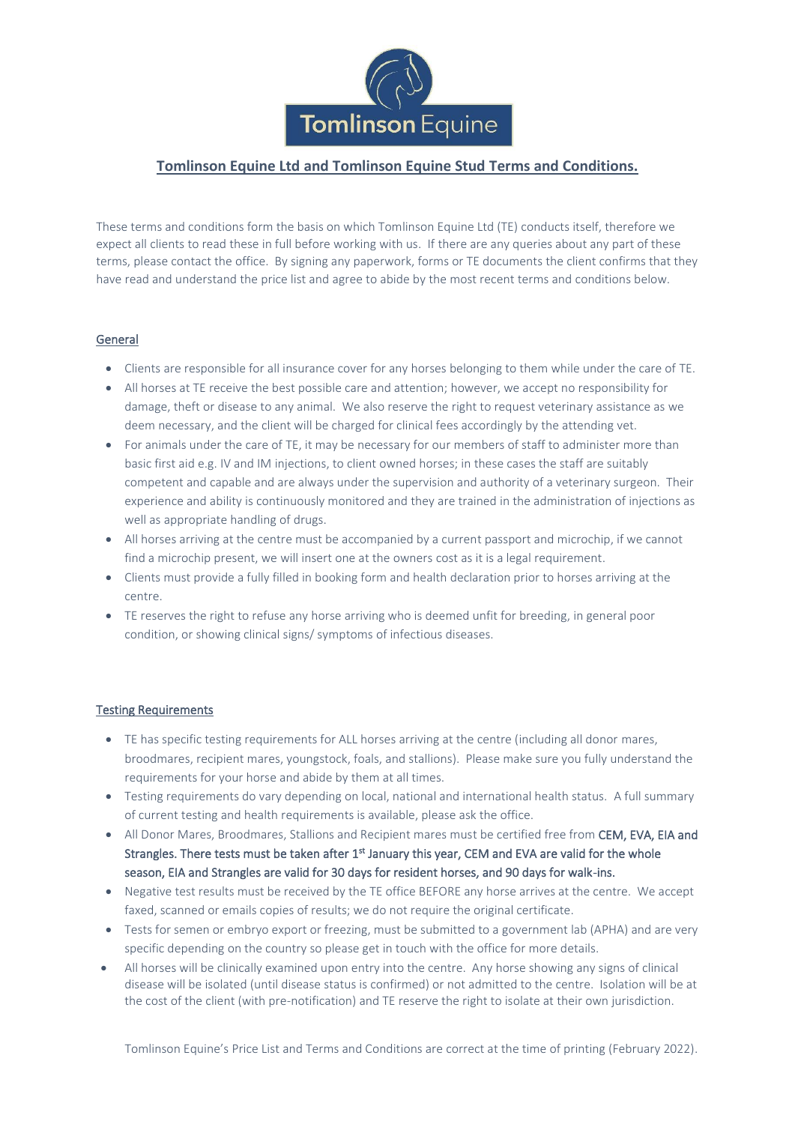

# **Tomlinson Equine Ltd and Tomlinson Equine Stud Terms and Conditions.**

These terms and conditions form the basis on which Tomlinson Equine Ltd (TE) conducts itself, therefore we expect all clients to read these in full before working with us. If there are any queries about any part of these terms, please contact the office. By signing any paperwork, forms or TE documents the client confirms that they have read and understand the price list and agree to abide by the most recent terms and conditions below.

### General

- Clients are responsible for all insurance cover for any horses belonging to them while under the care of TE.
- All horses at TE receive the best possible care and attention; however, we accept no responsibility for damage, theft or disease to any animal. We also reserve the right to request veterinary assistance as we deem necessary, and the client will be charged for clinical fees accordingly by the attending vet.
- For animals under the care of TE, it may be necessary for our members of staff to administer more than basic first aid e.g. IV and IM injections, to client owned horses; in these cases the staff are suitably competent and capable and are always under the supervision and authority of a veterinary surgeon. Their experience and ability is continuously monitored and they are trained in the administration of injections as well as appropriate handling of drugs.
- All horses arriving at the centre must be accompanied by a current passport and microchip, if we cannot find a microchip present, we will insert one at the owners cost as it is a legal requirement.
- Clients must provide a fully filled in booking form and health declaration prior to horses arriving at the centre.
- TE reserves the right to refuse any horse arriving who is deemed unfit for breeding, in general poor condition, or showing clinical signs/ symptoms of infectious diseases.

#### Testing Requirements

- TE has specific testing requirements for ALL horses arriving at the centre (including all donor mares, broodmares, recipient mares, youngstock, foals, and stallions). Please make sure you fully understand the requirements for your horse and abide by them at all times.
- Testing requirements do vary depending on local, national and international health status. A full summary of current testing and health requirements is available, please ask the office.
- All Donor Mares, Broodmares, Stallions and Recipient mares must be certified free from CEM, EVA, EIA and Strangles. There tests must be taken after 1<sup>st</sup> January this year, CEM and EVA are valid for the whole season, EIA and Strangles are valid for 30 days for resident horses, and 90 days for walk-ins.
- Negative test results must be received by the TE office BEFORE any horse arrives at the centre. We accept faxed, scanned or emails copies of results; we do not require the original certificate.
- Tests for semen or embryo export or freezing, must be submitted to a government lab (APHA) and are very specific depending on the country so please get in touch with the office for more details.
- All horses will be clinically examined upon entry into the centre. Any horse showing any signs of clinical disease will be isolated (until disease status is confirmed) or not admitted to the centre. Isolation will be at the cost of the client (with pre-notification) and TE reserve the right to isolate at their own jurisdiction.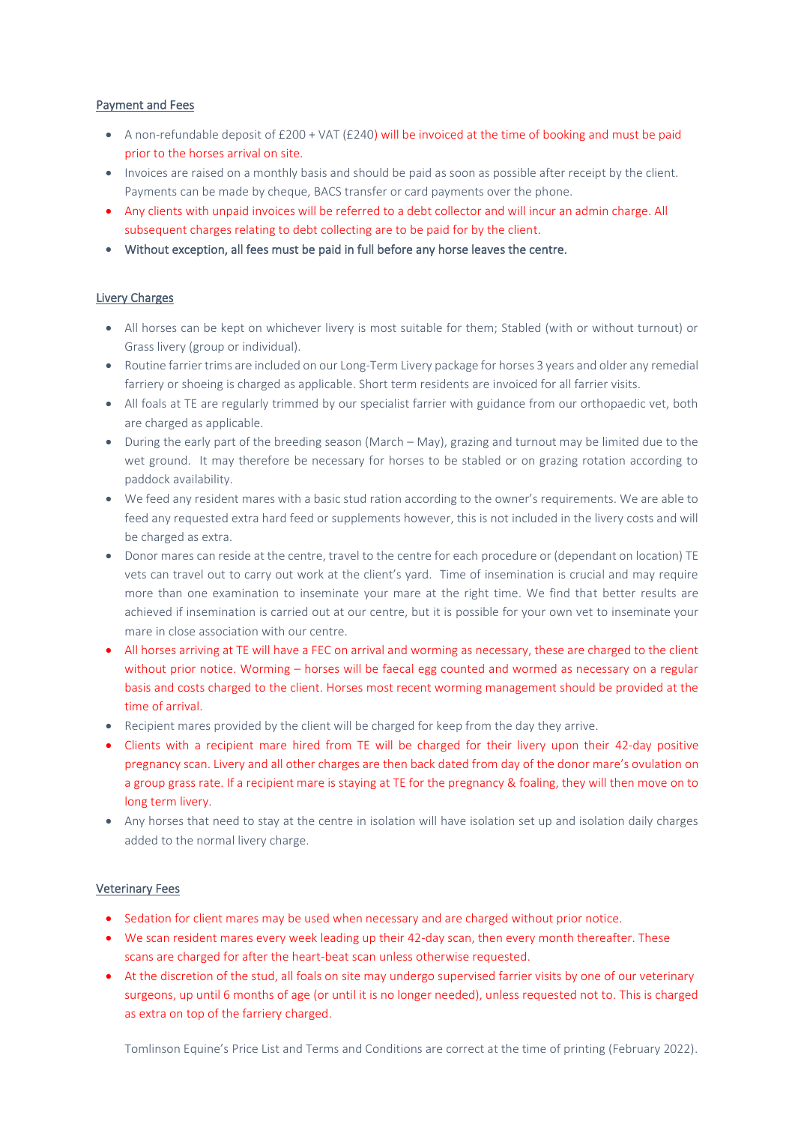#### Payment and Fees

- A non-refundable deposit of  $£200 + VAT (£240)$  will be invoiced at the time of booking and must be paid prior to the horses arrival on site.
- Invoices are raised on a monthly basis and should be paid as soon as possible after receipt by the client. Payments can be made by cheque, BACS transfer or card payments over the phone.
- Any clients with unpaid invoices will be referred to a debt collector and will incur an admin charge. All subsequent charges relating to debt collecting are to be paid for by the client.
- Without exception, all fees must be paid in full before any horse leaves the centre.

#### Livery Charges

- All horses can be kept on whichever livery is most suitable for them; Stabled (with or without turnout) or Grass livery (group or individual).
- Routine farrier trims are included on our Long-Term Livery package for horses 3 years and older any remedial farriery or shoeing is charged as applicable. Short term residents are invoiced for all farrier visits.
- All foals at TE are regularly trimmed by our specialist farrier with guidance from our orthopaedic vet, both are charged as applicable.
- During the early part of the breeding season (March May), grazing and turnout may be limited due to the wet ground. It may therefore be necessary for horses to be stabled or on grazing rotation according to paddock availability.
- We feed any resident mares with a basic stud ration according to the owner's requirements. We are able to feed any requested extra hard feed or supplements however, this is not included in the livery costs and will be charged as extra.
- Donor mares can reside at the centre, travel to the centre for each procedure or (dependant on location) TE vets can travel out to carry out work at the client's yard. Time of insemination is crucial and may require more than one examination to inseminate your mare at the right time. We find that better results are achieved if insemination is carried out at our centre, but it is possible for your own vet to inseminate your mare in close association with our centre.
- All horses arriving at TE will have a FEC on arrival and worming as necessary, these are charged to the client without prior notice. Worming – horses will be faecal egg counted and wormed as necessary on a regular basis and costs charged to the client. Horses most recent worming management should be provided at the time of arrival.
- Recipient mares provided by the client will be charged for keep from the day they arrive.
- Clients with a recipient mare hired from TE will be charged for their livery upon their 42-day positive pregnancy scan. Livery and all other charges are then back dated from day of the donor mare's ovulation on a group grass rate. If a recipient mare is staying at TE for the pregnancy & foaling, they will then move on to long term livery.
- Any horses that need to stay at the centre in isolation will have isolation set up and isolation daily charges added to the normal livery charge.

#### Veterinary Fees

- Sedation for client mares may be used when necessary and are charged without prior notice.
- We scan resident mares every week leading up their 42-day scan, then every month thereafter. These scans are charged for after the heart-beat scan unless otherwise requested.
- At the discretion of the stud, all foals on site may undergo supervised farrier visits by one of our veterinary surgeons, up until 6 months of age (or until it is no longer needed), unless requested not to. This is charged as extra on top of the farriery charged.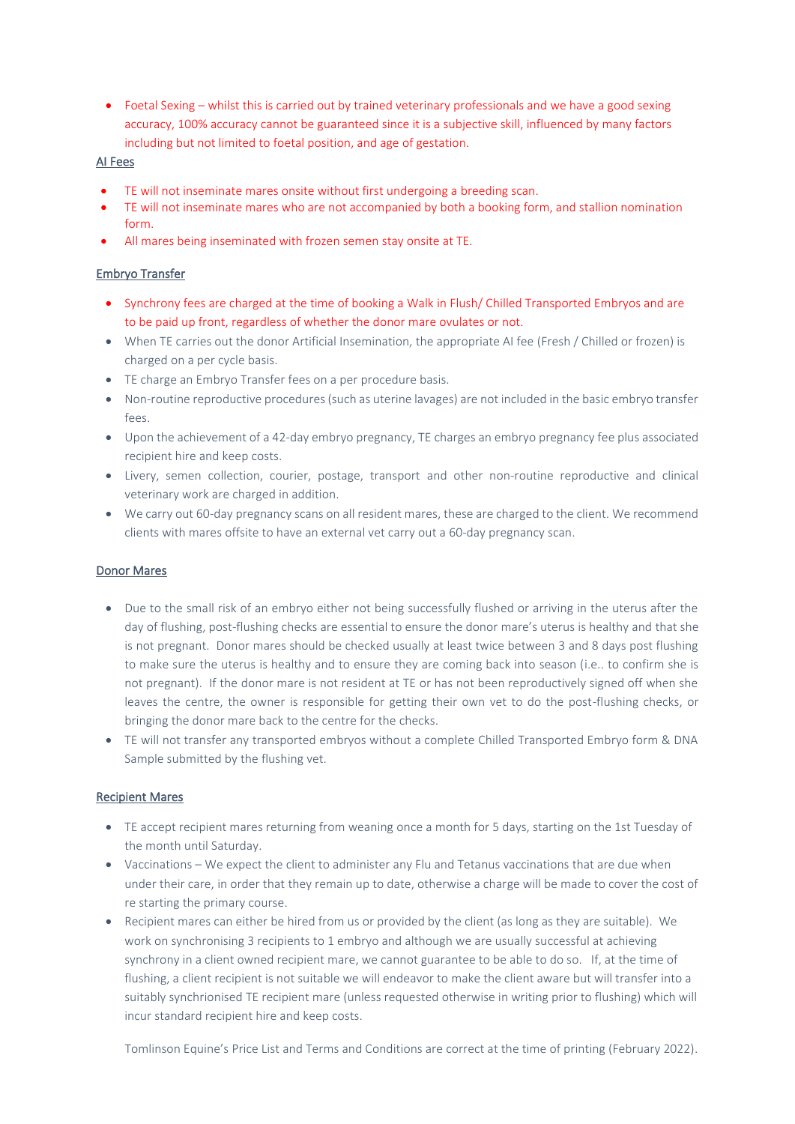• Foetal Sexing – whilst this is carried out by trained veterinary professionals and we have a good sexing accuracy, 100% accuracy cannot be guaranteed since it is a subjective skill, influenced by many factors including but not limited to foetal position, and age of gestation.

#### AI Fees

- TE will not inseminate mares onsite without first undergoing a breeding scan.
- TE will not inseminate mares who are not accompanied by both a booking form, and stallion nomination form.
- All mares being inseminated with frozen semen stay onsite at TE.

### Embryo Transfer

- Synchrony fees are charged at the time of booking a Walk in Flush/ Chilled Transported Embryos and are to be paid up front, regardless of whether the donor mare ovulates or not.
- When TE carries out the donor Artificial Insemination, the appropriate AI fee (Fresh / Chilled or frozen) is charged on a per cycle basis.
- TE charge an Embryo Transfer fees on a per procedure basis.
- Non-routine reproductive procedures (such as uterine lavages) are not included in the basic embryo transfer fees.
- Upon the achievement of a 42-day embryo pregnancy, TE charges an embryo pregnancy fee plus associated recipient hire and keep costs.
- Livery, semen collection, courier, postage, transport and other non-routine reproductive and clinical veterinary work are charged in addition.
- We carry out 60-day pregnancy scans on all resident mares, these are charged to the client. We recommend clients with mares offsite to have an external vet carry out a 60-day pregnancy scan.

#### Donor Mares

- Due to the small risk of an embryo either not being successfully flushed or arriving in the uterus after the day of flushing, post-flushing checks are essential to ensure the donor mare's uterus is healthy and that she is not pregnant. Donor mares should be checked usually at least twice between 3 and 8 days post flushing to make sure the uterus is healthy and to ensure they are coming back into season (i.e.. to confirm she is not pregnant). If the donor mare is not resident at TE or has not been reproductively signed off when she leaves the centre, the owner is responsible for getting their own vet to do the post-flushing checks, or bringing the donor mare back to the centre for the checks.
- TE will not transfer any transported embryos without a complete Chilled Transported Embryo form & DNA Sample submitted by the flushing vet.

#### Recipient Mares

- TE accept recipient mares returning from weaning once a month for 5 days, starting on the 1st Tuesday of the month until Saturday.
- Vaccinations We expect the client to administer any Flu and Tetanus vaccinations that are due when under their care, in order that they remain up to date, otherwise a charge will be made to cover the cost of re starting the primary course.
- Recipient mares can either be hired from us or provided by the client (as long as they are suitable). We work on synchronising 3 recipients to 1 embryo and although we are usually successful at achieving synchrony in a client owned recipient mare, we cannot guarantee to be able to do so. If, at the time of flushing, a client recipient is not suitable we will endeavor to make the client aware but will transfer into a suitably synchrionised TE recipient mare (unless requested otherwise in writing prior to flushing) which will incur standard recipient hire and keep costs.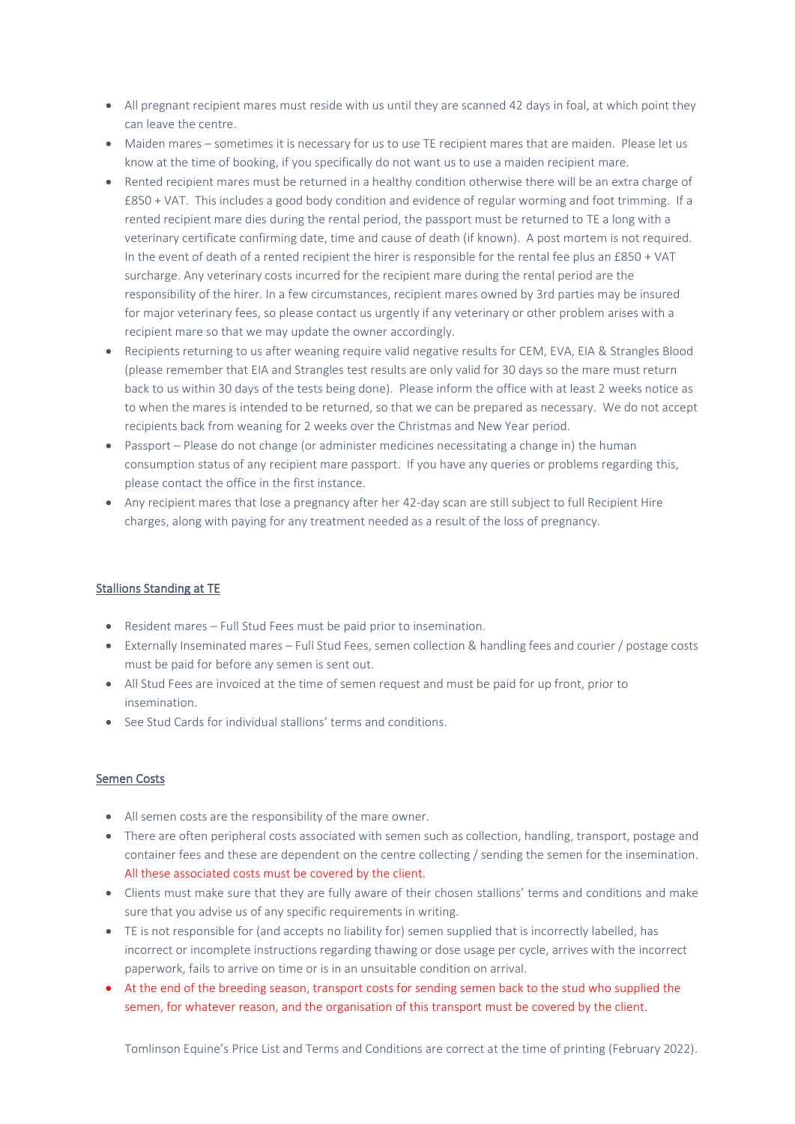- All pregnant recipient mares must reside with us until they are scanned 42 days in foal, at which point they can leave the centre.
- Maiden mares sometimes it is necessary for us to use TE recipient mares that are maiden. Please let us know at the time of booking, if you specifically do not want us to use a maiden recipient mare.
- Rented recipient mares must be returned in a healthy condition otherwise there will be an extra charge of £850 + VAT. This includes a good body condition and evidence of regular worming and foot trimming. If a rented recipient mare dies during the rental period, the passport must be returned to TE a long with a veterinary certificate confirming date, time and cause of death (if known). A post mortem is not required. In the event of death of a rented recipient the hirer is responsible for the rental fee plus an £850 + VAT surcharge. Any veterinary costs incurred for the recipient mare during the rental period are the responsibility of the hirer. In a few circumstances, recipient mares owned by 3rd parties may be insured for major veterinary fees, so please contact us urgently if any veterinary or other problem arises with a recipient mare so that we may update the owner accordingly.
- Recipients returning to us after weaning require valid negative results for CEM, EVA, EIA & Strangles Blood (please remember that EIA and Strangles test results are only valid for 30 days so the mare must return back to us within 30 days of the tests being done). Please inform the office with at least 2 weeks notice as to when the mares is intended to be returned, so that we can be prepared as necessary. We do not accept recipients back from weaning for 2 weeks over the Christmas and New Year period.
- Passport Please do not change (or administer medicines necessitating a change in) the human consumption status of any recipient mare passport. If you have any queries or problems regarding this, please contact the office in the first instance.
- Any recipient mares that lose a pregnancy after her 42-day scan are still subject to full Recipient Hire charges, along with paying for any treatment needed as a result of the loss of pregnancy.

# Stallions Standing at TE

- Resident mares Full Stud Fees must be paid prior to insemination.
- Externally Inseminated mares Full Stud Fees, semen collection & handling fees and courier / postage costs must be paid for before any semen is sent out.
- All Stud Fees are invoiced at the time of semen request and must be paid for up front, prior to insemination.
- See Stud Cards for individual stallions' terms and conditions.

#### Semen Costs

- All semen costs are the responsibility of the mare owner.
- There are often peripheral costs associated with semen such as collection, handling, transport, postage and container fees and these are dependent on the centre collecting / sending the semen for the insemination. All these associated costs must be covered by the client.
- Clients must make sure that they are fully aware of their chosen stallions' terms and conditions and make sure that you advise us of any specific requirements in writing.
- TE is not responsible for (and accepts no liability for) semen supplied that is incorrectly labelled, has incorrect or incomplete instructions regarding thawing or dose usage per cycle, arrives with the incorrect paperwork, fails to arrive on time or is in an unsuitable condition on arrival.
- At the end of the breeding season, transport costs for sending semen back to the stud who supplied the semen, for whatever reason, and the organisation of this transport must be covered by the client.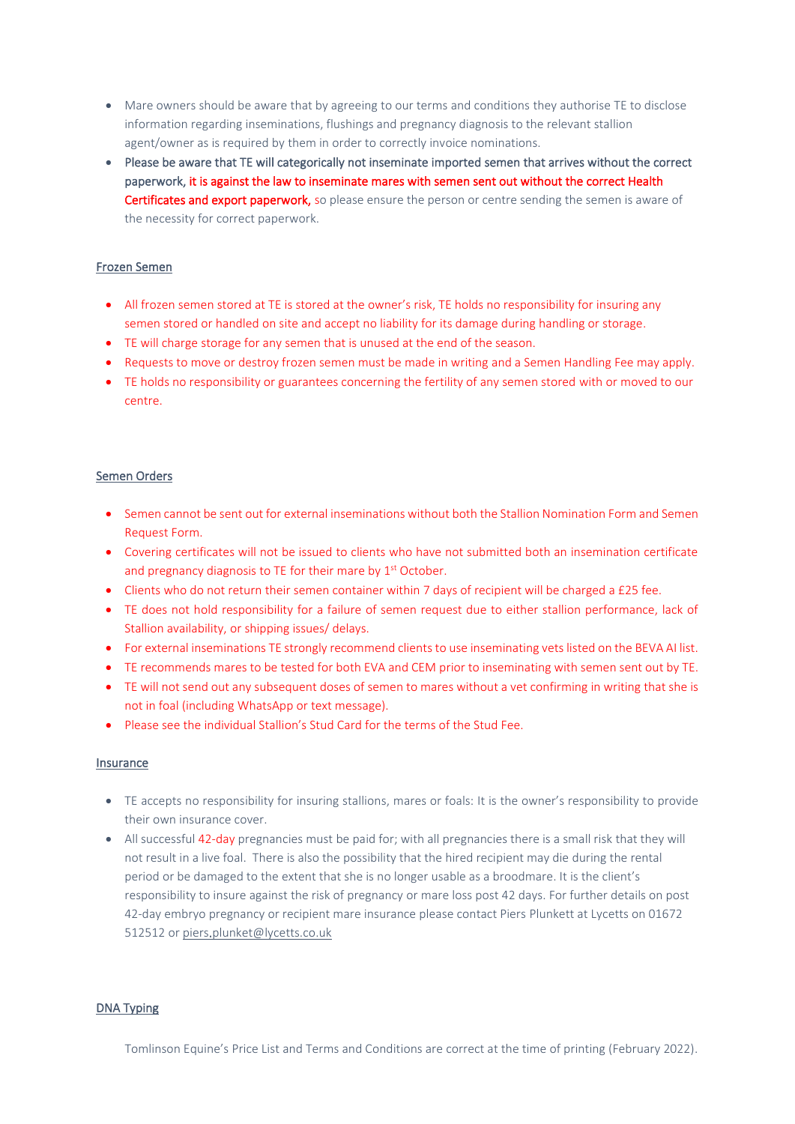- Mare owners should be aware that by agreeing to our terms and conditions they authorise TE to disclose information regarding inseminations, flushings and pregnancy diagnosis to the relevant stallion agent/owner as is required by them in order to correctly invoice nominations.
- Please be aware that TE will categorically not inseminate imported semen that arrives without the correct paperwork, it is against the law to inseminate mares with semen sent out without the correct Health Certificates and export paperwork, so please ensure the person or centre sending the semen is aware of the necessity for correct paperwork.

## Frozen Semen

- All frozen semen stored at TE is stored at the owner's risk, TE holds no responsibility for insuring any semen stored or handled on site and accept no liability for its damage during handling or storage.
- TE will charge storage for any semen that is unused at the end of the season.
- Requests to move or destroy frozen semen must be made in writing and a Semen Handling Fee may apply.
- TE holds no responsibility or guarantees concerning the fertility of any semen stored with or moved to our centre.

#### Semen Orders

- Semen cannot be sent out for external inseminations without both the Stallion Nomination Form and Semen Request Form.
- Covering certificates will not be issued to clients who have not submitted both an insemination certificate and pregnancy diagnosis to TE for their mare by 1<sup>st</sup> October.
- Clients who do not return their semen container within 7 days of recipient will be charged a £25 fee.
- TE does not hold responsibility for a failure of semen request due to either stallion performance, lack of Stallion availability, or shipping issues/ delays.
- For external inseminations TE strongly recommend clients to use inseminating vets listed on the BEVA AI list.
- TE recommends mares to be tested for both EVA and CEM prior to inseminating with semen sent out by TE.
- TE will not send out any subsequent doses of semen to mares without a vet confirming in writing that she is not in foal (including WhatsApp or text message).
- Please see the individual Stallion's Stud Card for the terms of the Stud Fee.

#### Insurance

- TE accepts no responsibility for insuring stallions, mares or foals: It is the owner's responsibility to provide their own insurance cover.
- All successful 42-day pregnancies must be paid for; with all pregnancies there is a small risk that they will not result in a live foal. There is also the possibility that the hired recipient may die during the rental period or be damaged to the extent that she is no longer usable as a broodmare. It is the client's responsibility to insure against the risk of pregnancy or mare loss post 42 days. For further details on post 42-day embryo pregnancy or recipient mare insurance please contact Piers Plunkett at Lycetts on 01672 512512 or [piers.plunket@lycetts.co.uk](mailto:piers.plunket@lycetts.co.uk)

#### DNA Typing